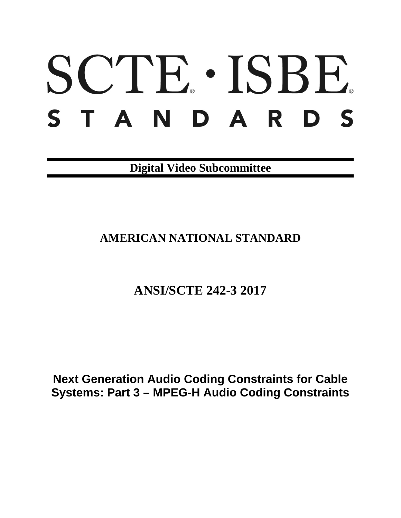# SCTE · ISBE. STANDARDS

**Digital Video Subcommittee**

# **AMERICAN NATIONAL STANDARD**

# **ANSI/SCTE 242-3 2017**

**Next Generation Audio Coding Constraints for Cable Systems: Part 3 – MPEG-H Audio Coding Constraints**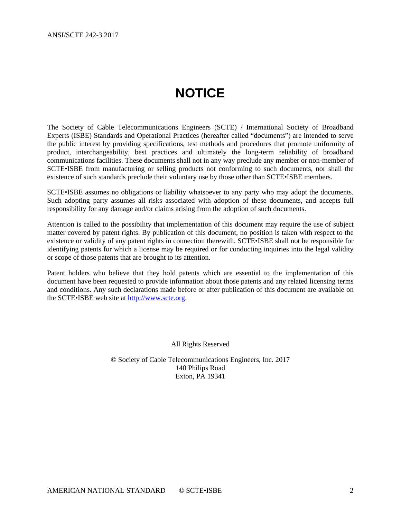# **NOTICE**

<span id="page-1-0"></span>The Society of Cable Telecommunications Engineers (SCTE) / International Society of Broadband Experts (ISBE) Standards and Operational Practices (hereafter called "documents") are intended to serve the public interest by providing specifications, test methods and procedures that promote uniformity of product, interchangeability, best practices and ultimately the long-term reliability of broadband communications facilities. These documents shall not in any way preclude any member or non-member of SCTE•ISBE from manufacturing or selling products not conforming to such documents, nor shall the existence of such standards preclude their voluntary use by those other than SCTE•ISBE members.

SCTE•ISBE assumes no obligations or liability whatsoever to any party who may adopt the documents. Such adopting party assumes all risks associated with adoption of these documents, and accepts full responsibility for any damage and/or claims arising from the adoption of such documents.

Attention is called to the possibility that implementation of this document may require the use of subject matter covered by patent rights. By publication of this document, no position is taken with respect to the existence or validity of any patent rights in connection therewith. SCTE•ISBE shall not be responsible for identifying patents for which a license may be required or for conducting inquiries into the legal validity or scope of those patents that are brought to its attention.

Patent holders who believe that they hold patents which are essential to the implementation of this document have been requested to provide information about those patents and any related licensing terms and conditions. Any such declarations made before or after publication of this document are available on the SCTE•ISBE web site at [http://www.scte.org.](http://www.scte.org/)

All Rights Reserved

© Society of Cable Telecommunications Engineers, Inc. 2017 140 Philips Road Exton, PA 19341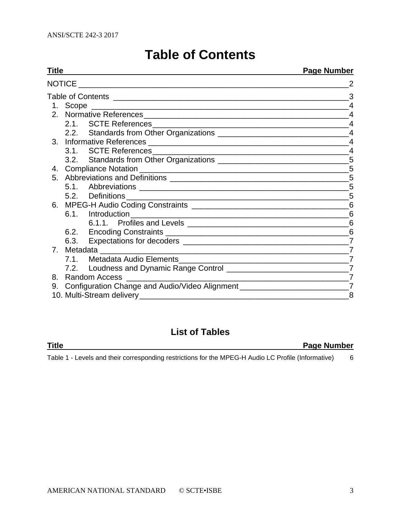|  |  |  | <b>Table of Contents</b> |
|--|--|--|--------------------------|
|--|--|--|--------------------------|

<span id="page-2-0"></span>

| Titl <u>e</u>  |                                                                                                               | <b>Page Number</b> |
|----------------|---------------------------------------------------------------------------------------------------------------|--------------------|
|                |                                                                                                               |                    |
|                |                                                                                                               | 3                  |
|                |                                                                                                               | $\overline{4}$     |
|                |                                                                                                               | $\overline{4}$     |
|                |                                                                                                               |                    |
|                |                                                                                                               |                    |
|                |                                                                                                               | $\overline{4}$     |
|                |                                                                                                               | $\overline{4}$     |
|                | 3.2. Standards from Other Organizations ___________________________________5                                  |                    |
|                |                                                                                                               |                    |
| 5 <sub>1</sub> | Abbreviations and Definitions [1994] Manuscription and Definitions [1996] Manuscription and Manuscription and | 5                  |
|                |                                                                                                               | 5                  |
|                |                                                                                                               | 5                  |
| 6.             |                                                                                                               |                    |
|                |                                                                                                               | 6                  |
|                |                                                                                                               |                    |
|                |                                                                                                               |                    |
|                | 6.3.                                                                                                          | $\overline{7}$     |
| 7.             |                                                                                                               | 7                  |
|                |                                                                                                               | $\overline{7}$     |
|                |                                                                                                               |                    |
| 8.             |                                                                                                               | $\overline{7}$     |
| 9.             | Configuration Change and Audio/Video Alignment _________________________________                              | $\overline{7}$     |
|                |                                                                                                               | 8                  |

# **List of Tables**

| Title |  |  |  |  | <b>Page Number</b> |  |
|-------|--|--|--|--|--------------------|--|
|       |  |  |  |  |                    |  |

Table 1 - [Levels and their corresponding restrictions for the MPEG-H Audio LC Profile \(Informative\)](#page-5-4) 6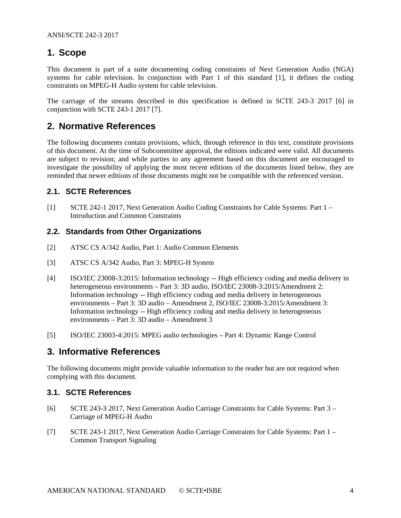# <span id="page-3-0"></span>**1. Scope**

This document is part of a suite documenting coding constraints of Next Generation Audio (NGA) systems for cable television. In conjunction with Part 1 of this standard [\[1\]](#page-3-6), it defines the coding constraints on MPEG-H Audio system for cable television.

The carriage of the streams described in this specification is defined in SCTE 243-3 2017 [\[6\]](#page-3-7) in conjunction with SCTE 243-1 2017 [\[7\]](#page-3-8).

## <span id="page-3-1"></span>**2. Normative References**

The following documents contain provisions, which, through reference in this text, constitute provisions of this document. At the time of Subcommittee approval, the editions indicated were valid. All documents are subject to revision; and while parties to any agreement based on this document are encouraged to investigate the possibility of applying the most recent editions of the documents listed below, they are reminded that newer editions of those documents might not be compatible with the referenced version.

#### <span id="page-3-2"></span>**2.1. SCTE References**

<span id="page-3-6"></span>[1] SCTE 242-1 2017, Next Generation Audio Coding Constraints for Cable Systems: Part 1 – Introduction and Common Constraints

#### <span id="page-3-3"></span>**2.2. Standards from Other Organizations**

- <span id="page-3-10"></span><span id="page-3-9"></span>[2] ATSC CS A/342 Audio, Part 1: Audio Common Elements
- <span id="page-3-11"></span>[3] ATSC CS A/342 Audio, Part 3: MPEG-H System
- [4] ISO/IEC 23008-3:2015: Information technology -- High efficiency coding and media delivery in heterogeneous environments – Part 3: 3D audio, ISO/IEC 23008-3:2015/Amendment 2: Information technology -- High efficiency coding and media delivery in heterogeneous environments – Part 3: 3D audio – Amendment 2, ISO/IEC 23008-3:2015/Amendment 3: Information technology -- High efficiency coding and media delivery in heterogeneous environments – Part 3: 3D audio – Amendment 3
- <span id="page-3-12"></span><span id="page-3-4"></span>[5] ISO/IEC 23003-4:2015: MPEG audio technologies – Part 4: Dynamic Range Control

# **3. Informative References**

The following documents might provide valuable information to the reader but are not required when complying with this document.

#### <span id="page-3-5"></span>**3.1. SCTE References**

- <span id="page-3-7"></span>[6] SCTE 243-3 2017, Next Generation Audio Carriage Constraints for Cable Systems: Part 3 – Carriage of MPEG-H Audio
- <span id="page-3-8"></span>[7] SCTE 243-1 2017, Next Generation Audio Carriage Constraints for Cable Systems: Part 1 – Common Transport Signaling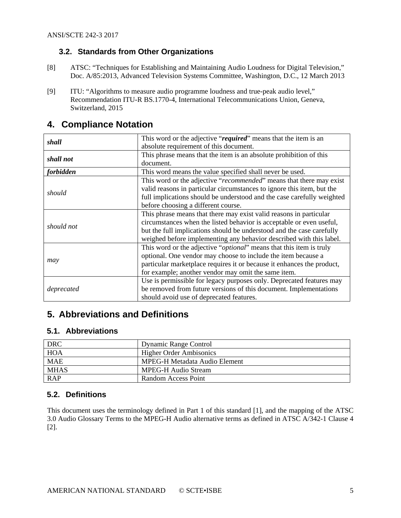#### <span id="page-4-0"></span>**3.2. Standards from Other Organizations**

- <span id="page-4-5"></span>[8] ATSC: "Techniques for Establishing and Maintaining Audio Loudness for Digital Television," Doc. A/85:2013, Advanced Television Systems Committee, Washington, D.C., 12 March 2013
- <span id="page-4-6"></span>[9] ITU: "Algorithms to measure audio programme loudness and true-peak audio level," Recommendation ITU-R BS.1770-4, International Telecommunications Union, Geneva, Switzerland, 2015

| shall            | This word or the adjective "required" means that the item is an              |  |  |  |  |  |
|------------------|------------------------------------------------------------------------------|--|--|--|--|--|
|                  | absolute requirement of this document.                                       |  |  |  |  |  |
| shall not        | This phrase means that the item is an absolute prohibition of this           |  |  |  |  |  |
|                  | document.                                                                    |  |  |  |  |  |
| <i>forbidden</i> | This word means the value specified shall never be used.                     |  |  |  |  |  |
|                  | This word or the adjective " <i>recommended</i> " means that there may exist |  |  |  |  |  |
|                  | valid reasons in particular circumstances to ignore this item, but the       |  |  |  |  |  |
| should           | full implications should be understood and the case carefully weighted       |  |  |  |  |  |
|                  | before choosing a different course.                                          |  |  |  |  |  |
|                  | This phrase means that there may exist valid reasons in particular           |  |  |  |  |  |
|                  | circumstances when the listed behavior is acceptable or even useful,         |  |  |  |  |  |
| should not       | but the full implications should be understood and the case carefully        |  |  |  |  |  |
|                  | weighed before implementing any behavior described with this label.          |  |  |  |  |  |
|                  | This word or the adjective " <i>optional</i> " means that this item is truly |  |  |  |  |  |
|                  | optional. One vendor may choose to include the item because a                |  |  |  |  |  |
| may              | particular marketplace requires it or because it enhances the product,       |  |  |  |  |  |
|                  | for example; another vendor may omit the same item.                          |  |  |  |  |  |
|                  | Use is permissible for legacy purposes only. Deprecated features may         |  |  |  |  |  |
| deprecated       | be removed from future versions of this document. Implementations            |  |  |  |  |  |
|                  | should avoid use of deprecated features.                                     |  |  |  |  |  |

## <span id="page-4-1"></span>**4. Compliance Notation**

# <span id="page-4-2"></span>**5. Abbreviations and Definitions**

#### <span id="page-4-3"></span>**5.1. Abbreviations**

| <b>DRC</b>  | Dynamic Range Control          |
|-------------|--------------------------------|
| <b>HOA</b>  | <b>Higher Order Ambisonics</b> |
| <b>MAE</b>  | MPEG-H Metadata Audio Element  |
| <b>MHAS</b> | <b>MPEG-H Audio Stream</b>     |
| <b>RAP</b>  | Random Access Point            |

#### <span id="page-4-4"></span>**5.2. Definitions**

This document uses the terminology defined in Part 1 of this standard [\[1\]](#page-3-6), and the mapping of the ATSC 3.0 Audio Glossary Terms to the MPEG-H Audio alternative terms as defined in ATSC A/342-1 Clause 4 [\[2\]](#page-3-9).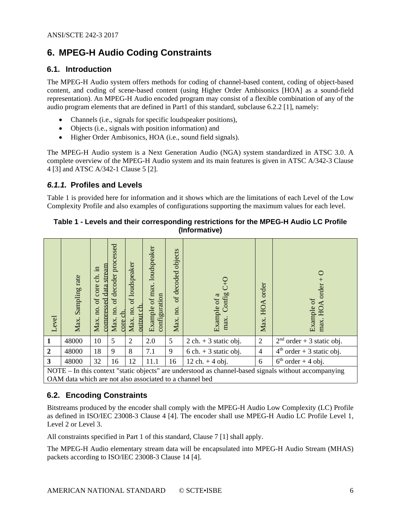# <span id="page-5-0"></span>**6. MPEG-H Audio Coding Constraints**

#### <span id="page-5-1"></span>**6.1. Introduction**

The MPEG-H Audio system offers methods for coding of channel-based content, coding of object-based content, and coding of scene-based content (using Higher Order Ambisonics [HOA] as a sound-field representation). An MPEG-H Audio encoded program may consist of a flexible combination of any of the audio program elements that are defined in Part1 of this standard, subclause 6.2.2 [\[1\]](#page-3-6), namely:

- Channels (i.e., signals for specific loudspeaker positions),
- Objects (i.e., signals with position information) and
- Higher Order Ambisonics, HOA (i.e., sound field signals).

The MPEG-H Audio system is a Next Generation Audio (NGA) system standardized in ATSC 3.0. A complete overview of the MPEG-H Audio system and its main features is given in ATSC A/342-3 Clause 4 [\[3\]](#page-3-10) and ATSC A/342-1 Clause 5 [\[2\]](#page-3-9).

#### <span id="page-5-2"></span>*6.1.1.* **Profiles and Levels**

[Table 1](#page-5-4) is provided here for information and it shows which are the limitations of each Level of the Low Complexity Profile and also examples of configurations supporting the maximum values for each level.

#### <span id="page-5-4"></span>**Table 1 - Levels and their corresponding restrictions for the MPEG-H Audio LC Profile (Informative)**

| Level          | Sampling rate<br>Max.                                                                                | compressed data stream<br>.⊟<br>ਣੀ.<br>core<br>$\sigma$<br>Max. no. | processed<br>of decoder<br>no.<br>ch<br>Max.<br>core | of loudspeaker<br>$\frac{\text{output ch}}{\text{c}}$<br>no.<br>Max. | of max. loudspeaker<br>configuration<br>Example | objects<br>of decoded<br>no.<br>Max. | Config<br>Example of a<br>max.          | <b>HOA</b> order<br>Max. | C<br>$order +$<br>Example of<br>HOA<br>max. |
|----------------|------------------------------------------------------------------------------------------------------|---------------------------------------------------------------------|------------------------------------------------------|----------------------------------------------------------------------|-------------------------------------------------|--------------------------------------|-----------------------------------------|--------------------------|---------------------------------------------|
| 1              | 48000                                                                                                | 10                                                                  | 5                                                    | $\overline{2}$                                                       | 2.0                                             | 5                                    | $2$ ch. + 3 static obj.                 | $\overline{2}$           | $2nd order + 3$ static obj.                 |
| $\overline{2}$ | 48000                                                                                                | 18                                                                  | 9                                                    | 8                                                                    | 7.1                                             | 9                                    | $6 \text{ ch.} + 3 \text{ static obj.}$ | $\overline{4}$           | $4th$ order + 3 static obj.                 |
| $\mathbf{3}$   | 48000                                                                                                | 32                                                                  | 16                                                   | 12                                                                   | 11.1                                            | 16                                   | $12 \,$ ch. + 4 obj.                    | 6                        | $6th order + 4 obj.$                        |
|                | NOTE – In this context "static objects" are understood as channel-based signals without accompanying |                                                                     |                                                      |                                                                      |                                                 |                                      |                                         |                          |                                             |

NOTE – In this context "static objects" are understood as channel-based signals without accompanying OAM data which are not also associated to a channel bed

#### <span id="page-5-3"></span>**6.2. Encoding Constraints**

Bitstreams produced by the encoder shall comply with the MPEG-H Audio Low Complexity (LC) Profile as defined in ISO/IEC 23008-3 Clause 4 [\[4\]](#page-3-11). The encoder shall use MPEG-H Audio LC Profile Level 1, Level 2 or Level 3.

All constraints specified in Part 1 of this standard, Clause 7 [\[1\]](#page-3-6) shall apply.

The MPEG-H Audio elementary stream data will be encapsulated into MPEG-H Audio Stream (MHAS) packets according to ISO/IEC 23008-3 Clause 14 [\[4\]](#page-3-11).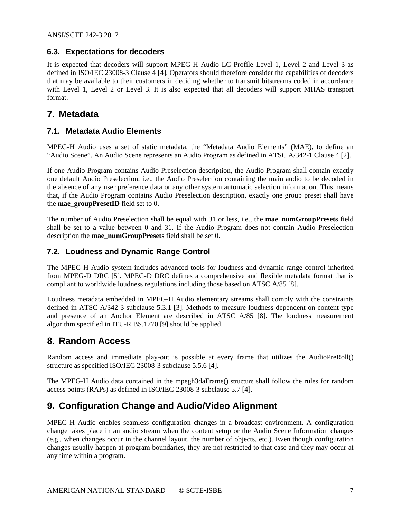#### <span id="page-6-0"></span>**6.3. Expectations for decoders**

It is expected that decoders will support MPEG-H Audio LC Profile Level 1, Level 2 and Level 3 as defined in ISO/IEC 23008-3 Clause 4 [\[4\]](#page-3-11). Operators should therefore consider the capabilities of decoders that may be available to their customers in deciding whether to transmit bitstreams coded in accordance with Level 1, Level 2 or Level 3. It is also expected that all decoders will support MHAS transport format.

## <span id="page-6-1"></span>**7. Metadata**

#### <span id="page-6-2"></span>**7.1. Metadata Audio Elements**

MPEG-H Audio uses a set of static metadata, the "Metadata Audio Elements" (MAE), to define an "Audio Scene". An Audio Scene represents an Audio Program as defined in ATSC A/342-1 Clause 4 [\[2\]](#page-3-9).

If one Audio Program contains Audio Preselection description, the Audio Program shall contain exactly one default Audio Preselection, i.e., the Audio Preselection containing the main audio to be decoded in the absence of any user preference data or any other system automatic selection information. This means that, if the Audio Program contains Audio Preselection description, exactly one group preset shall have the **mae\_groupPresetID** field set to 0**.**

The number of Audio Preselection shall be equal with 31 or less, i.e., the **mae\_numGroupPresets** field shall be set to a value between 0 and 31. If the Audio Program does not contain Audio Preselection description the **mae\_numGroupPresets** field shall be set 0.

#### <span id="page-6-3"></span>**7.2. Loudness and Dynamic Range Control**

The MPEG-H Audio system includes advanced tools for loudness and dynamic range control inherited from MPEG-D DRC [\[5\]](#page-3-12). MPEG-D DRC defines a comprehensive and flexible metadata format that is compliant to worldwide loudness regulations including those based on ATSC A/85 [\[8\]](#page-4-5).

Loudness metadata embedded in MPEG-H Audio elementary streams shall comply with the constraints defined in ATSC A/342-3 subclause 5.3.1 [\[3\]](#page-3-10). Methods to measure loudness dependent on content type and presence of an Anchor Element are described in ATSC A/85 [\[8\]](#page-4-5). The loudness measurement algorithm specified in ITU-R BS.1770 [\[9\]](#page-4-6) should be applied.

### <span id="page-6-4"></span>**8. Random Access**

Random access and immediate play-out is possible at every frame that utilizes the AudioPreRoll() structure as specified ISO/IEC 23008-3 subclause 5.5.6 [\[4\]](#page-3-11).

The MPEG-H Audio data contained in the mpegh3daFrame() structure shall follow the rules for random access points (RAPs) as defined in ISO/IEC 23008-3 subclause 5.7 [\[4\]](#page-3-11).

# <span id="page-6-5"></span>**9. Configuration Change and Audio/Video Alignment**

MPEG-H Audio enables seamless configuration changes in a broadcast environment. A configuration change takes place in an audio stream when the content setup or the Audio Scene Information changes (e.g., when changes occur in the channel layout, the number of objects, etc.). Even though configuration changes usually happen at program boundaries, they are not restricted to that case and they may occur at any time within a program.